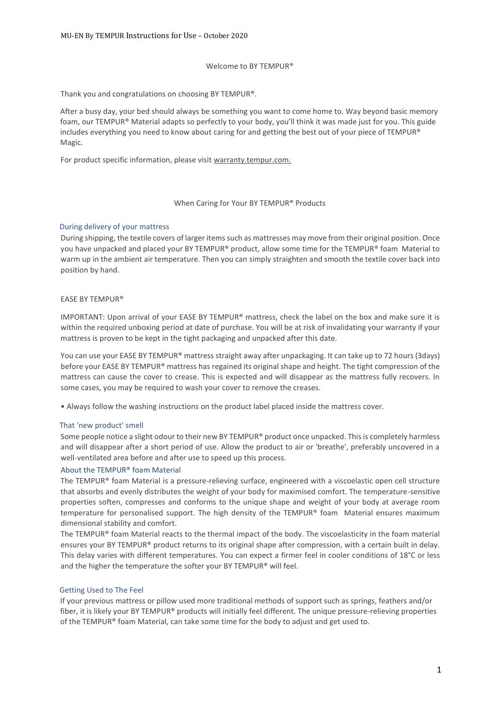#### Welcome to BY TEMPUR®

Thank you and congratulations on choosing BY TEMPUR®.

After a busy day, your bed should always be something you want to come home to. Way beyond basic memory foam, our TEMPUR® Material adapts so perfectly to your body, you'll think it was made just for you. This guide includes everything you need to know about caring for and getting the best out of your piece of TEMPUR® Magic.

For product specific information, please visit warranty.tempur.com.

#### When Caring for Your BY TEMPUR® Products

#### During delivery of your mattress

During shipping, the textile covers of larger items such as mattresses may move from their original position. Once you have unpacked and placed your BY TEMPUR® product, allow some time for the TEMPUR® foam Material to warm up in the ambient air temperature. Then you can simply straighten and smooth the textile cover back into position by hand.

#### EASE BY TEMPUR®

IMPORTANT: Upon arrival of your EASE BY TEMPUR® mattress, check the label on the box and make sure it is within the required unboxing period at date of purchase. You will be at risk of invalidating your warranty if your mattress is proven to be kept in the tight packaging and unpacked after this date.

You can use your EASE BY TEMPUR® mattress straight away after unpackaging. It can take up to 72 hours (3days) before your EASE BY TEMPUR® mattress has regained its original shape and height. The tight compression of the mattress can cause the cover to crease. This is expected and will disappear as the mattress fully recovers. In some cases, you may be required to wash your cover to remove the creases.

• Always follow the washing instructions on the product label placed inside the mattress cover.

#### That 'new product' smell

Some people notice a slight odour to their new BY TEMPUR® product once unpacked. This is completely harmless and will disappear after a short period of use. Allow the product to air or 'breathe', preferably uncovered in a well-ventilated area before and after use to speed up this process.

#### About the TEMPUR® foam Material

The TEMPUR® foam Material is a pressure-relieving surface, engineered with a viscoelastic open cell structure that absorbs and evenly distributes the weight of your body for maximised comfort. The temperature-sensitive properties soften, compresses and conforms to the unique shape and weight of your body at average room temperature for personalised support. The high density of the TEMPUR® foam Material ensures maximum dimensional stability and comfort.

The TEMPUR® foam Material reacts to the thermal impact of the body. The viscoelasticity in the foam material ensures your BY TEMPUR® product returns to its original shape after compression, with a certain built in delay. This delay varies with different temperatures. You can expect a firmer feel in cooler conditions of 18°C or less and the higher the temperature the softer your BY TEMPUR® will feel.

#### Getting Used to The Feel

If your previous mattress or pillow used more traditional methods of support such as springs, feathers and/or fiber, it is likely your BY TEMPUR® products will initially feel different. The unique pressure-relieving properties of the TEMPUR® foam Material, can take some time for the body to adjust and get used to.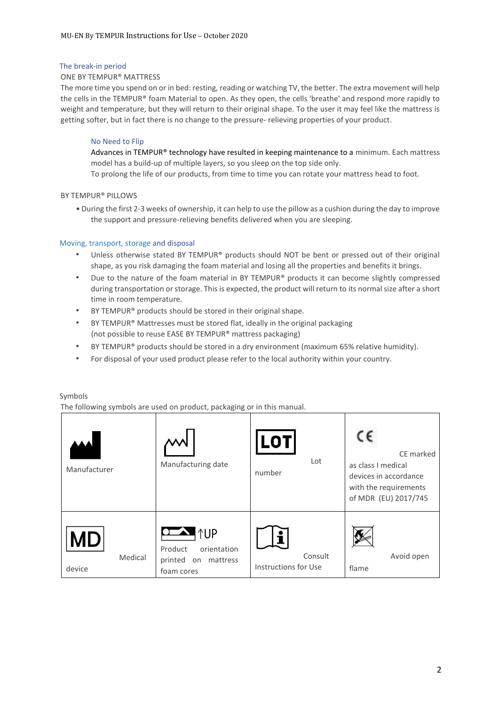## The break-in period

## ONE BY TEMPUR® MATTRESS

The more time you spend on or in bed: resting, reading or watching TV, the better. The extra movement will help the cells in the TEMPUR® foam Material to open. As they open, the cells 'breathe' and respond more rapidly to weight and temperature, but they will return to their original shape. To the user it may feel like the mattress is getting softer, but in fact there is no change to the pressure- relieving properties of your product.

## No Need to Flip

Advances in TEMPUR® technology have resulted in keeping maintenance to a minimum. Each mattress model has a build-up of multiple layers, so you sleep on the top side only.

To prolong the life of our products, from time to time you can rotate your mattress head to foot.

## BY TEMPUR® PILLOWS

• During the first 2-3 weeks of ownership, it can help to use the pillow as a cushion during the day to improve the support and pressure-relieving benefits delivered when you are sleeping.

## Moving, transport, storage and disposal

- Unless otherwise stated BY TEMPUR® products should NOT be bent or pressed out of their original shape, as you risk damaging the foam material and losing all the properties and benefits it brings.
- Due to the nature of the foam material in BY TEMPUR® products it can become slightly compressed during transportation or storage. This is expected, the product will return to its normal size after a short time in room temperature.
- BY TEMPUR® products should be stored in their original shape.
- BY TEMPUR® Mattresses must be stored flat, ideally in the original packaging (not possible to reuse EASE BY TEMPUR® mattress packaging)
- BY TEMPUR® products should be stored in a dry environment (maximum 65% relative humidity).
- For disposal of your used product please refer to the local authority within your country.

### Symbols

The following symbols are used on product, packaging or in this manual.

| Manufacturer            | Manufacturing date                                                                        | LOT <sup>'</sup><br>Lot<br>number | CE marked<br>as class I medical<br>devices in accordance<br>with the requirements<br>of MDR (EU) 2017/745 |
|-------------------------|-------------------------------------------------------------------------------------------|-----------------------------------|-----------------------------------------------------------------------------------------------------------|
| МD<br>Medical<br>device | $\sim$ $\uparrow$ UP<br>Product<br>orientation<br>printed<br>mattress<br>on<br>foam cores | Consult<br>Instructions for Use   | Avoid open<br>flame                                                                                       |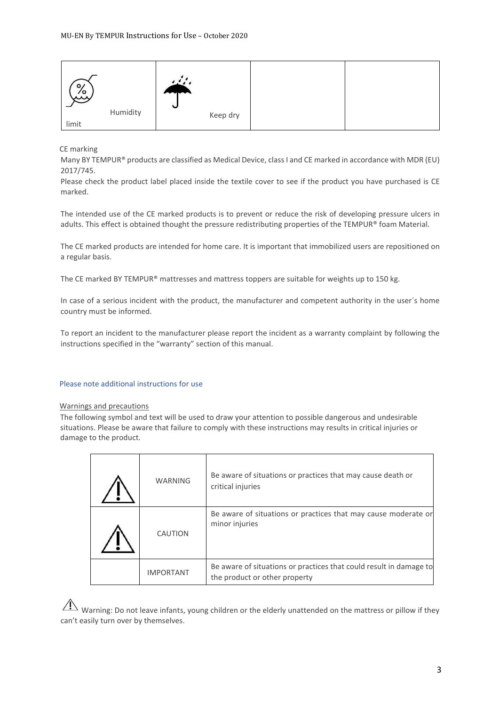| $\circ$<br>Ly | Humidity | $\overline{\phantom{a}}$<br>$\check{ }$ |          |  |
|---------------|----------|-----------------------------------------|----------|--|
| limit         |          |                                         | Keep dry |  |

CE marking

Many BY TEMPUR® products are classified as Medical Device, class I and CE marked in accordance with MDR (EU) 2017/745.

Please check the product label placed inside the textile cover to see if the product you have purchased is CE marked.

The intended use of the CE marked products is to prevent or reduce the risk of developing pressure ulcers in adults. This effect is obtained thought the pressure redistributing properties of the TEMPUR® foam Material.

The CE marked products are intended for home care. It is important that immobilized users are repositioned on a regular basis.

The CE marked BY TEMPUR® mattresses and mattress toppers are suitable for weights up to 150 kg.

In case of a serious incident with the product, the manufacturer and competent authority in the user´s home country must be informed.

To report an incident to the manufacturer please report the incident as a warranty complaint by following the instructions specified in the "warranty" section of this manual.

### Please note additional instructions for use

### Warnings and precautions

The following symbol and text will be used to draw your attention to possible dangerous and undesirable situations. Please be aware that failure to comply with these instructions may results in critical injuries or damage to the product.

| <b>WARNING</b>   | Be aware of situations or practices that may cause death or<br>critical injuries                    |
|------------------|-----------------------------------------------------------------------------------------------------|
| CAUTION          | Be aware of situations or practices that may cause moderate or<br>minor injuries                    |
| <b>IMPORTANT</b> | Be aware of situations or practices that could result in damage to<br>the product or other property |

 $\overline{\Delta}$  Warning: Do not leave infants, young children or the elderly unattended on the mattress or pillow if they can't easily turn over by themselves.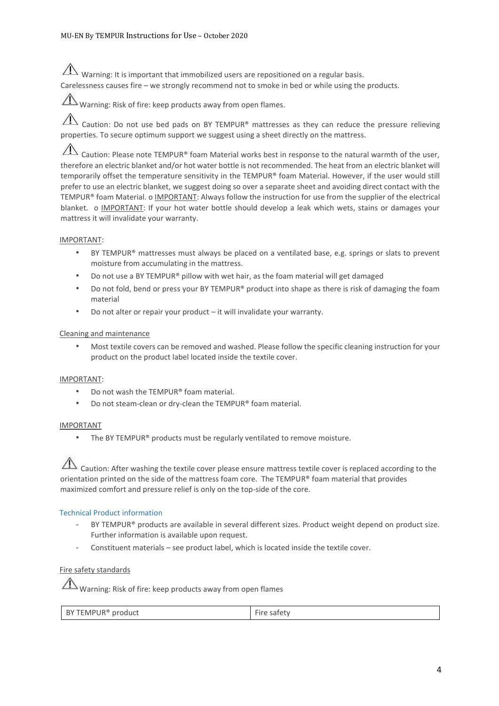$\hat{A}$  Warning: It is important that immobilized users are repositioned on a regular basis.

Carelessness causes fire – we strongly recommend not to smoke in bed or while using the products.

Warning: Risk of fire: keep products away from open flames.

 $\overline{\Lambda}$  Caution: Do not use bed pads on BY TEMPUR® mattresses as they can reduce the pressure relieving properties. To secure optimum support we suggest using a sheet directly on the mattress.

 $\sqrt{1}$ Caution: Please note TEMPUR® foam Material works best in response to the natural warmth of the user, therefore an electric blanket and/or hot water bottle is not recommended. The heat from an electric blanket will temporarily offset the temperature sensitivity in the TEMPUR® foam Material. However, if the user would still prefer to use an electric blanket, we suggest doing so over a separate sheet and avoiding direct contact with the TEMPUR® foam Material. o IMPORTANT: Always follow the instruction for use from the supplier of the electrical blanket. o IMPORTANT: If your hot water bottle should develop a leak which wets, stains or damages your mattress it will invalidate your warranty.

# IMPORTANT:

- BY TEMPUR® mattresses must always be placed on a ventilated base, e.g. springs or slats to prevent moisture from accumulating in the mattress.
- Do not use a BY TEMPUR® pillow with wet hair, as the foam material will get damaged
- Do not fold, bend or press your BY TEMPUR® product into shape as there is risk of damaging the foam material
- Do not alter or repair your product it will invalidate your warranty.

# Cleaning and maintenance

• Most textile covers can be removed and washed. Please follow the specific cleaning instruction for your product on the product label located inside the textile cover.

# IMPORTANT:

- Do not wash the TEMPUR® foam material.
- Do not steam-clean or dry-clean the TEMPUR® foam material.

# IMPORTANT

The BY TEMPUR® products must be regularly ventilated to remove moisture.

 $\Lambda$  Caution: After washing the textile cover please ensure mattress textile cover is replaced according to the orientation printed on the side of the mattress foam core. The TEMPUR® foam material that provides maximized comfort and pressure relief is only on the top-side of the core.

# Technical Product information

- BY TEMPUR® products are available in several different sizes. Product weight depend on product size. Further information is available upon request.
- Constituent materials see product label, which is located inside the textile cover.

# Fire safety standards

 $\Lambda$  Warning: Risk of fire: keep products away from open flames

|  | BY TEMPUR <sup>®</sup> product | $\overline{\phantom{a}}$ |
|--|--------------------------------|--------------------------|
|--|--------------------------------|--------------------------|